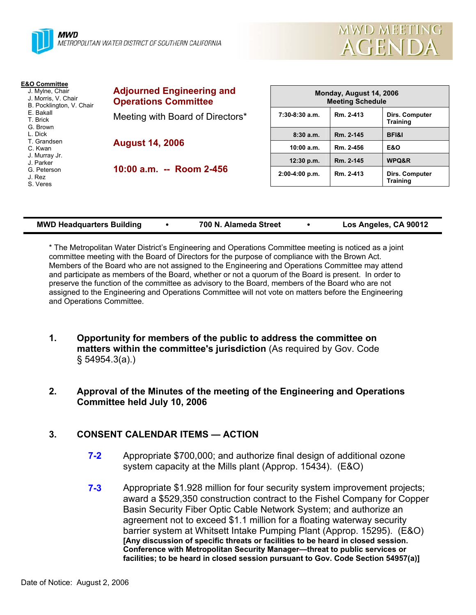



| <b>Adjourned Engineering and</b><br><b>Operations Committee</b>                             | Monday, August 14, 2006<br><b>Meeting Schedule</b> |           |                                          |
|---------------------------------------------------------------------------------------------|----------------------------------------------------|-----------|------------------------------------------|
| Meeting with Board of Directors*                                                            | $7:30-8:30$ a.m.                                   | Rm. 2-413 | Dirs. Computer<br><b>Training</b>        |
| <b>August 14, 2006</b>                                                                      | 8:30a.m.                                           | Rm. 2-145 | <b>BFI&amp;I</b>                         |
|                                                                                             | 10:00 a.m.                                         | Rm. 2-456 | <b>E&amp;O</b>                           |
| J. Murray Jr.<br>J. Parker<br>10:00 a.m. -- Room 2-456<br>G. Peterson<br>J. Rez<br>S. Veres | 12:30 p.m.                                         | Rm. 2-145 | WPQ&R                                    |
|                                                                                             | $2:00-4:00 p.m.$                                   | Rm. 2-413 | <b>Dirs. Computer</b><br><b>Training</b> |
|                                                                                             |                                                    |           |                                          |

| <b>MWD Headquarters Building</b><br>700 N. Alameda Street | Los Angeles, CA 90012 |  |
|-----------------------------------------------------------|-----------------------|--|
|-----------------------------------------------------------|-----------------------|--|

\* The Metropolitan Water District's Engineering and Operations Committee meeting is noticed as a joint committee meeting with the Board of Directors for the purpose of compliance with the Brown Act. Members of the Board who are not assigned to the Engineering and Operations Committee may attend and participate as members of the Board, whether or not a quorum of the Board is present. In order to preserve the function of the committee as advisory to the Board, members of the Board who are not assigned to the Engineering and Operations Committee will not vote on matters before the Engineering and Operations Committee.

- **1. Opportunity for members of the public to address the committee on matters within the committee's jurisdiction** (As required by Gov. Code § 54954.3(a).)
- **2. Approval of the Minutes of the meeting of the Engineering and Operations Committee held July 10, 2006**

# **3. CONSENT CALENDAR ITEMS — ACTION**

- **7-2** Appropriate \$700,000; and authorize final design of additional ozone system capacity at the Mills plant (Approp. 15434). (E&O)
- **7-3** Appropriate \$1.928 million for four security system improvement projects; award a \$529,350 construction contract to the Fishel Company for Copper Basin Security Fiber Optic Cable Network System; and authorize an agreement not to exceed \$1.1 million for a floating waterway security barrier system at Whitsett Intake Pumping Plant (Approp. 15295). (E&O) **[Any discussion of specific threats or facilities to be heard in closed session. Conference with Metropolitan Security Manager—threat to public services or facilities; to be heard in closed session pursuant to Gov. Code Section 54957(a)]**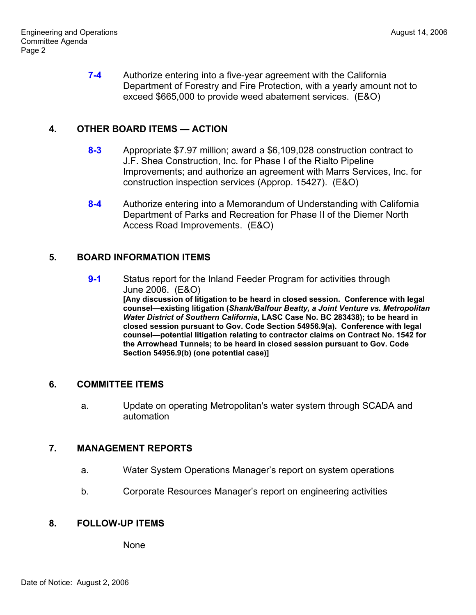**7-4** Authorize entering into a five-year agreement with the California Department of Forestry and Fire Protection, with a yearly amount not to exceed \$665,000 to provide weed abatement services. (E&O)

## **4. OTHER BOARD ITEMS — ACTION**

- **8-3** Appropriate \$7.97 million; award a \$6,109,028 construction contract to J.F. Shea Construction, Inc. for Phase I of the Rialto Pipeline Improvements; and authorize an agreement with Marrs Services, Inc. for construction inspection services (Approp. 15427). (E&O)
- **8-4** Authorize entering into a Memorandum of Understanding with California Department of Parks and Recreation for Phase II of the Diemer North Access Road Improvements. (E&O)

### **5. BOARD INFORMATION ITEMS**

**9-1** Status report for the Inland Feeder Program for activities through June 2006. (E&O) **[Any discussion of litigation to be heard in closed session. Conference with legal counsel—existing litigation (***Shank/Balfour Beatty, a Joint Venture vs. Metropolitan Water District of Southern California***, LASC Case No. BC 283438); to be heard in closed session pursuant to Gov. Code Section 54956.9(a). Conference with legal counsel—potential litigation relating to contractor claims on Contract No. 1542 for the Arrowhead Tunnels; to be heard in closed session pursuant to Gov. Code Section 54956.9(b) (one potential case)]**

# **6. COMMITTEE ITEMS**

a. Update on operating Metropolitan's water system through SCADA and automation

### **7. MANAGEMENT REPORTS**

- a. Water System Operations Manager's report on system operations
- b. Corporate Resources Manager's report on engineering activities

#### **8. FOLLOW-UP ITEMS**

None